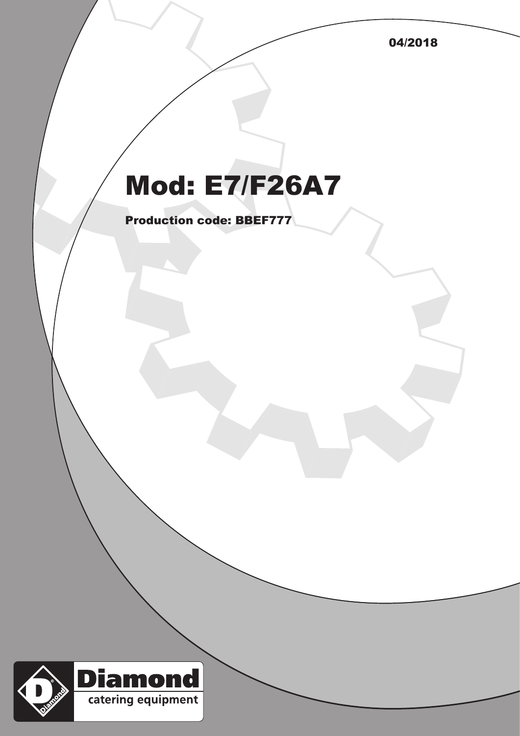04/2018

## Mod: E7/F26A7

Production code: BBEF777